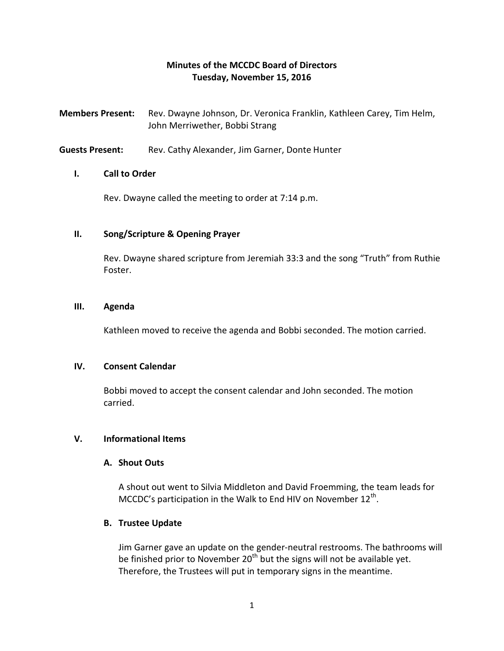# **Minutes of the MCCDC Board of Directors Tuesday, November 15, 2016**

- **Members Present:** Rev. Dwayne Johnson, Dr. Veronica Franklin, Kathleen Carey, Tim Helm, John Merriwether, Bobbi Strang
- **Guests Present:** Rev. Cathy Alexander, Jim Garner, Donte Hunter

## **I. Call to Order**

Rev. Dwayne called the meeting to order at 7:14 p.m.

## **II. Song/Scripture & Opening Prayer**

Rev. Dwayne shared scripture from Jeremiah 33:3 and the song "Truth" from Ruthie Foster.

#### **III. Agenda**

Kathleen moved to receive the agenda and Bobbi seconded. The motion carried.

### **IV. Consent Calendar**

Bobbi moved to accept the consent calendar and John seconded. The motion carried.

# **V. Informational Items**

#### **A. Shout Outs**

A shout out went to Silvia Middleton and David Froemming, the team leads for MCCDC's participation in the Walk to End HIV on November 12<sup>th</sup>.

#### **B. Trustee Update**

Jim Garner gave an update on the gender-neutral restrooms. The bathrooms will be finished prior to November  $20<sup>th</sup>$  but the signs will not be available yet. Therefore, the Trustees will put in temporary signs in the meantime.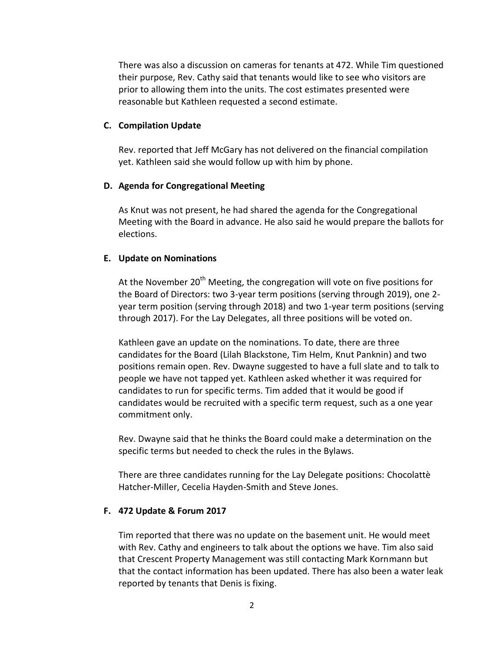There was also a discussion on cameras for tenants at 472. While Tim questioned their purpose, Rev. Cathy said that tenants would like to see who visitors are prior to allowing them into the units. The cost estimates presented were reasonable but Kathleen requested a second estimate.

### **C. Compilation Update**

Rev. reported that Jeff McGary has not delivered on the financial compilation yet. Kathleen said she would follow up with him by phone.

## **D. Agenda for Congregational Meeting**

As Knut was not present, he had shared the agenda for the Congregational Meeting with the Board in advance. He also said he would prepare the ballots for elections.

# **E. Update on Nominations**

At the November  $20<sup>th</sup>$  Meeting, the congregation will vote on five positions for the Board of Directors: two 3-year term positions (serving through 2019), one 2 year term position (serving through 2018) and two 1-year term positions (serving through 2017). For the Lay Delegates, all three positions will be voted on.

Kathleen gave an update on the nominations. To date, there are three candidates for the Board (Lilah Blackstone, Tim Helm, Knut Panknin) and two positions remain open. Rev. Dwayne suggested to have a full slate and to talk to people we have not tapped yet. Kathleen asked whether it was required for candidates to run for specific terms. Tim added that it would be good if candidates would be recruited with a specific term request, such as a one year commitment only.

Rev. Dwayne said that he thinks the Board could make a determination on the specific terms but needed to check the rules in the Bylaws.

There are three candidates running for the Lay Delegate positions: Chocolattè Hatcher-Miller, Cecelia Hayden-Smith and Steve Jones.

# **F. 472 Update & Forum 2017**

Tim reported that there was no update on the basement unit. He would meet with Rev. Cathy and engineers to talk about the options we have. Tim also said that Crescent Property Management was still contacting Mark Kornmann but that the contact information has been updated. There has also been a water leak reported by tenants that Denis is fixing.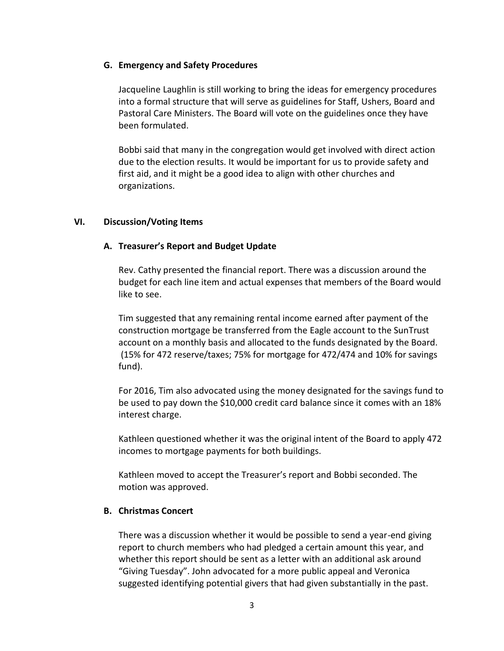## **G. Emergency and Safety Procedures**

Jacqueline Laughlin is still working to bring the ideas for emergency procedures into a formal structure that will serve as guidelines for Staff, Ushers, Board and Pastoral Care Ministers. The Board will vote on the guidelines once they have been formulated.

Bobbi said that many in the congregation would get involved with direct action due to the election results. It would be important for us to provide safety and first aid, and it might be a good idea to align with other churches and organizations.

## **VI. Discussion/Voting Items**

# **A. Treasurer's Report and Budget Update**

Rev. Cathy presented the financial report. There was a discussion around the budget for each line item and actual expenses that members of the Board would like to see.

Tim suggested that any remaining rental income earned after payment of the construction mortgage be transferred from the Eagle account to the SunTrust account on a monthly basis and allocated to the funds designated by the Board. (15% for 472 reserve/taxes; 75% for mortgage for 472/474 and 10% for savings fund).

For 2016, Tim also advocated using the money designated for the savings fund to be used to pay down the \$10,000 credit card balance since it comes with an 18% interest charge.

Kathleen questioned whether it was the original intent of the Board to apply 472 incomes to mortgage payments for both buildings.

Kathleen moved to accept the Treasurer's report and Bobbi seconded. The motion was approved.

# **B. Christmas Concert**

There was a discussion whether it would be possible to send a year-end giving report to church members who had pledged a certain amount this year, and whether this report should be sent as a letter with an additional ask around "Giving Tuesday". John advocated for a more public appeal and Veronica suggested identifying potential givers that had given substantially in the past.